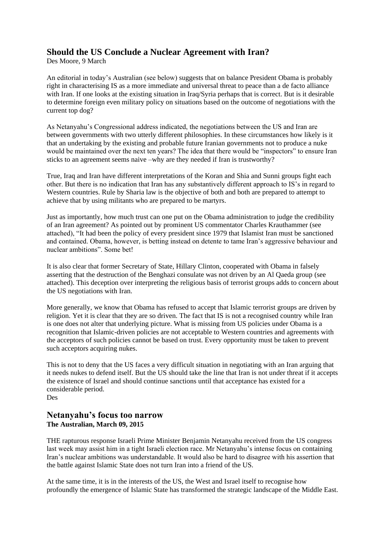## **Should the US Conclude a Nuclear Agreement with Iran?**

Des Moore, 9 March

An editorial in today's Australian (see below) suggests that on balance President Obama is probably right in characterising IS as a more immediate and universal threat to peace than a de facto alliance with Iran. If one looks at the existing situation in Iraq/Syria perhaps that is correct. But is it desirable to determine foreign even military policy on situations based on the outcome of negotiations with the current top dog?

As Netanyahu's Congressional address indicated, the negotiations between the US and Iran are between governments with two utterly different philosophies. In these circumstances how likely is it that an undertaking by the existing and probable future Iranian governments not to produce a nuke would be maintained over the next ten years? The idea that there would be "inspectors" to ensure Iran sticks to an agreement seems naive –why are they needed if Iran is trustworthy?

True, Iraq and Iran have different interpretations of the Koran and Shia and Sunni groups fight each other. But there is no indication that Iran has any substantively different approach to IS's in regard to Western countries. Rule by Sharia law is the objective of both and both are prepared to attempt to achieve that by using militants who are prepared to be martyrs.

Just as importantly, how much trust can one put on the Obama administration to judge the credibility of an Iran agreement? As pointed out by prominent US commentator Charles Krauthammer (see attached), "It had been the policy of every president since 1979 that Islamist Iran must be sanctioned and contained. Obama, however, is betting instead on detente to tame Iran's aggressive behaviour and nuclear ambitions". Some bet!

It is also clear that former Secretary of State, Hillary Clinton, cooperated with Obama in falsely asserting that the destruction of the Benghazi consulate was not driven by an Al Qaeda group (see attached). This deception over interpreting the religious basis of terrorist groups adds to concern about the US negotiations with Iran.

More generally, we know that Obama has refused to accept that Islamic terrorist groups are driven by religion. Yet it is clear that they are so driven. The fact that IS is not a recognised country while Iran is one does not alter that underlying picture. What is missing from US policies under Obama is a recognition that Islamic-driven policies are not acceptable to Western countries and agreements with the acceptors of such policies cannot be based on trust. Every opportunity must be taken to prevent such acceptors acquiring nukes.

This is not to deny that the US faces a very difficult situation in negotiating with an Iran arguing that it needs nukes to defend itself. But the US should take the line that Iran is not under threat if it accepts the existence of Israel and should continue sanctions until that acceptance has existed for a considerable period. Des

## **Netanyahu's focus too narrow [The Australian,](http://www.theaustralian.com.au/) March 09, 2015**

THE rapturous response Israeli Prime Minister Benjamin Netanyahu received from the US congress last week may assist him in a tight Israeli election race. Mr Netanyahu's intense focus on containing Iran's nuclear ambitions was understandable. It would also be hard to disagree with his assertion that the battle against Islamic State does not turn Iran into a friend of the US.

At the same time, it is in the interests of the US, the West and Israel itself to recognise how profoundly the emergence of Islamic State has transformed the strategic landscape of the Middle East.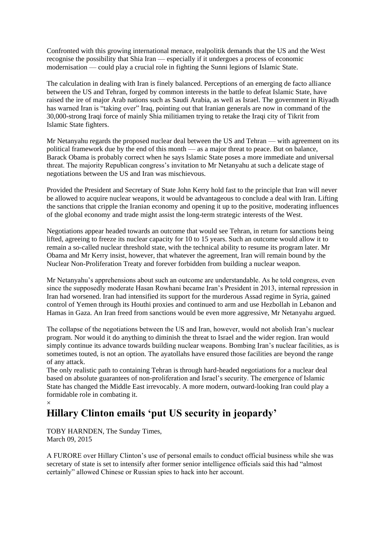Confronted with this growing international menace, realpolitik demands that the US and the West recognise the possibility that Shia Iran — especially if it undergoes a process of economic modernisation — could play a crucial role in fighting the Sunni legions of Islamic State.

The calculation in dealing with Iran is finely balanced. Perceptions of an emerging de facto alliance between the US and Tehran, forged by common interests in the battle to defeat Islamic State, have raised the ire of major Arab nations such as Saudi Arabia, as well as Israel. The government in Riyadh has warned Iran is "taking over" Iraq, pointing out that Iranian generals are now in command of the 30,000-strong Iraqi force of mainly Shia militiamen trying to retake the Iraqi city of Tikrit from Islamic State fighters.

Mr Netanyahu regards the proposed nuclear deal between the US and Tehran — with agreement on its political framework due by the end of this month — as a major threat to peace. But on balance, Barack Obama is probably correct when he says Islamic State poses a more immediate and universal threat. The majority Republican congress's invitation to Mr Netanyahu at such a delicate stage of negotiations between the US and Iran was mischievous.

Provided the President and Secretary of State John Kerry hold fast to the principle that Iran will never be allowed to acquire nuclear weapons, it would be advantageous to conclude a deal with Iran. Lifting the sanctions that cripple the Iranian economy and opening it up to the positive, moderating influences of the global economy and trade might assist the long-term strategic interests of the West.

Negotiations appear headed towards an outcome that would see Tehran, in return for sanctions being lifted, agreeing to freeze its nuclear capacity for 10 to 15 years. Such an outcome would allow it to remain a so-called nuclear threshold state, with the technical ability to resume its program later. Mr Obama and Mr Kerry insist, however, that whatever the agreement, Iran will remain bound by the Nuclear Non-Proliferation Treaty and forever forbidden from building a nuclear weapon.

Mr Netanyahu's apprehensions about such an outcome are understandable. As he told congress, even since the supposedly moderate Hasan Rowhani became Iran's President in 2013, internal repression in Iran had worsened. Iran had intensified its support for the murderous Assad regime in Syria, gained control of Yemen through its Houthi proxies and continued to arm and use Hezbollah in Lebanon and Hamas in Gaza. An Iran freed from sanctions would be even more aggressive, Mr Netanyahu argued.

The collapse of the negotiations between the US and Iran, however, would not abolish Iran's nuclear program. Nor would it do anything to diminish the threat to Israel and the wider region. Iran would simply continue its advance towards building nuclear weapons. Bombing Iran's nuclear facilities, as is sometimes touted, is not an option. The ayatollahs have ensured those facilities are beyond the range of any attack.

The only realistic path to containing Tehran is through hard-headed negotiations for a nuclear deal based on absolute guarantees of non-proliferation and Israel's security. The emergence of Islamic State has changed the Middle East irrevocably. A more modern, outward-looking Iran could play a formidable role in combating it.

## $\times$ **Hillary Clinton emails 'put US security in jeopardy'**

TOBY HARNDEN, The Sunday Times, March 09, 2015

A FURORE over Hillary Clinton's use of personal emails to conduct official business while she was secretary of state is set to intensify after former senior intelligence officials said this had "almost certainly" allowed Chinese or Russian spies to hack into her account.